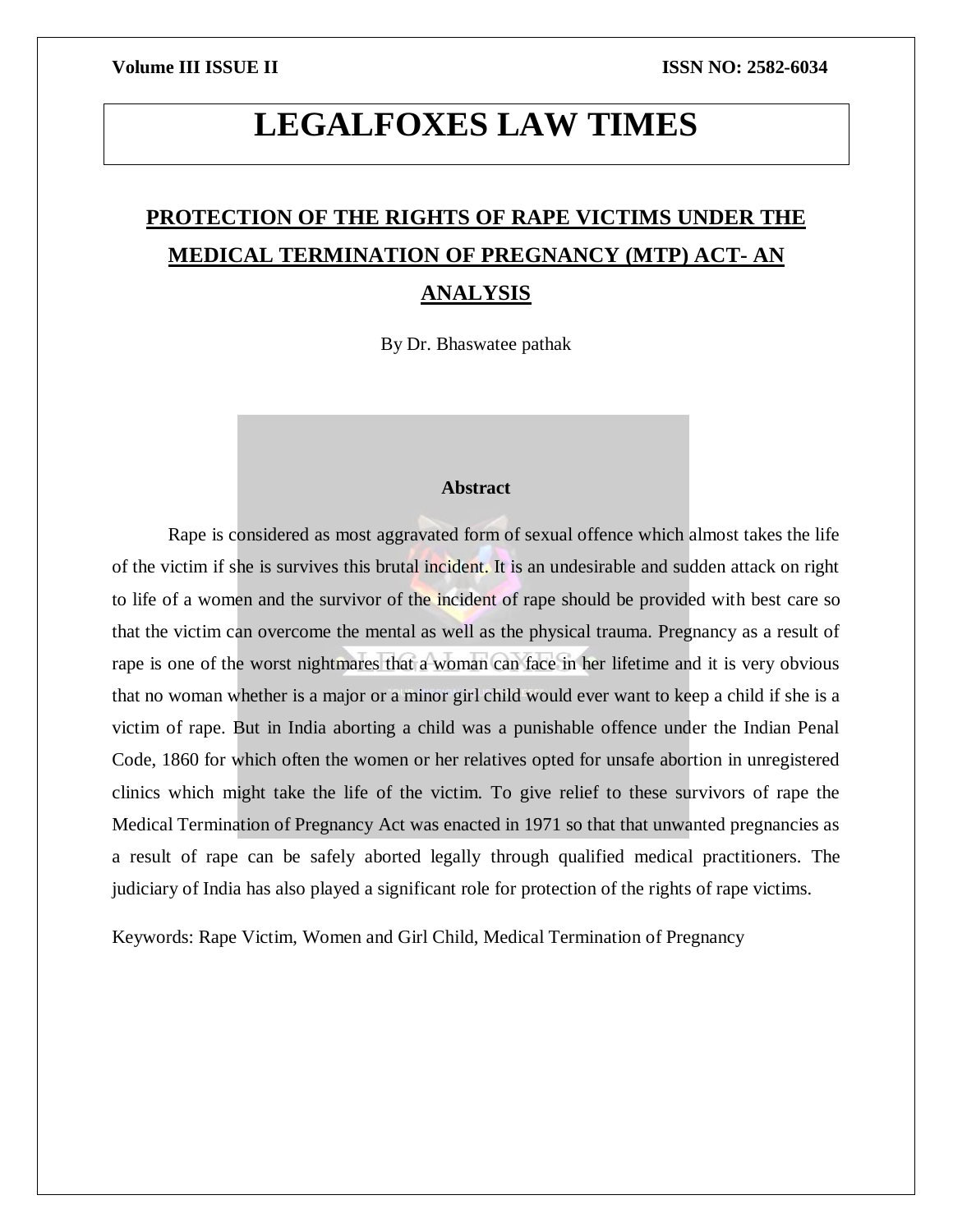# **LEGALFOXES LAW TIMES**

## **PROTECTION OF THE RIGHTS OF RAPE VICTIMS UNDER THE MEDICAL TERMINATION OF PREGNANCY (MTP) ACT- AN ANALYSIS**

By Dr. Bhaswatee pathak

### **Abstract**

Rape is considered as most aggravated form of sexual offence which almost takes the life of the victim if she is survives this brutal incident. It is an undesirable and sudden attack on right to life of a women and the survivor of the incident of rape should be provided with best care so that the victim can overcome the mental as well as the physical trauma. Pregnancy as a result of rape is one of the worst nightmares that a woman can face in her lifetime and it is very obvious that no woman whether is a major or a minor girl child would ever want to keep a child if she is a victim of rape. But in India aborting a child was a punishable offence under the Indian Penal Code, 1860 for which often the women or her relatives opted for unsafe abortion in unregistered clinics which might take the life of the victim. To give relief to these survivors of rape the Medical Termination of Pregnancy Act was enacted in 1971 so that that unwanted pregnancies as a result of rape can be safely aborted legally through qualified medical practitioners. The judiciary of India has also played a significant role for protection of the rights of rape victims.

Keywords: Rape Victim, Women and Girl Child, Medical Termination of Pregnancy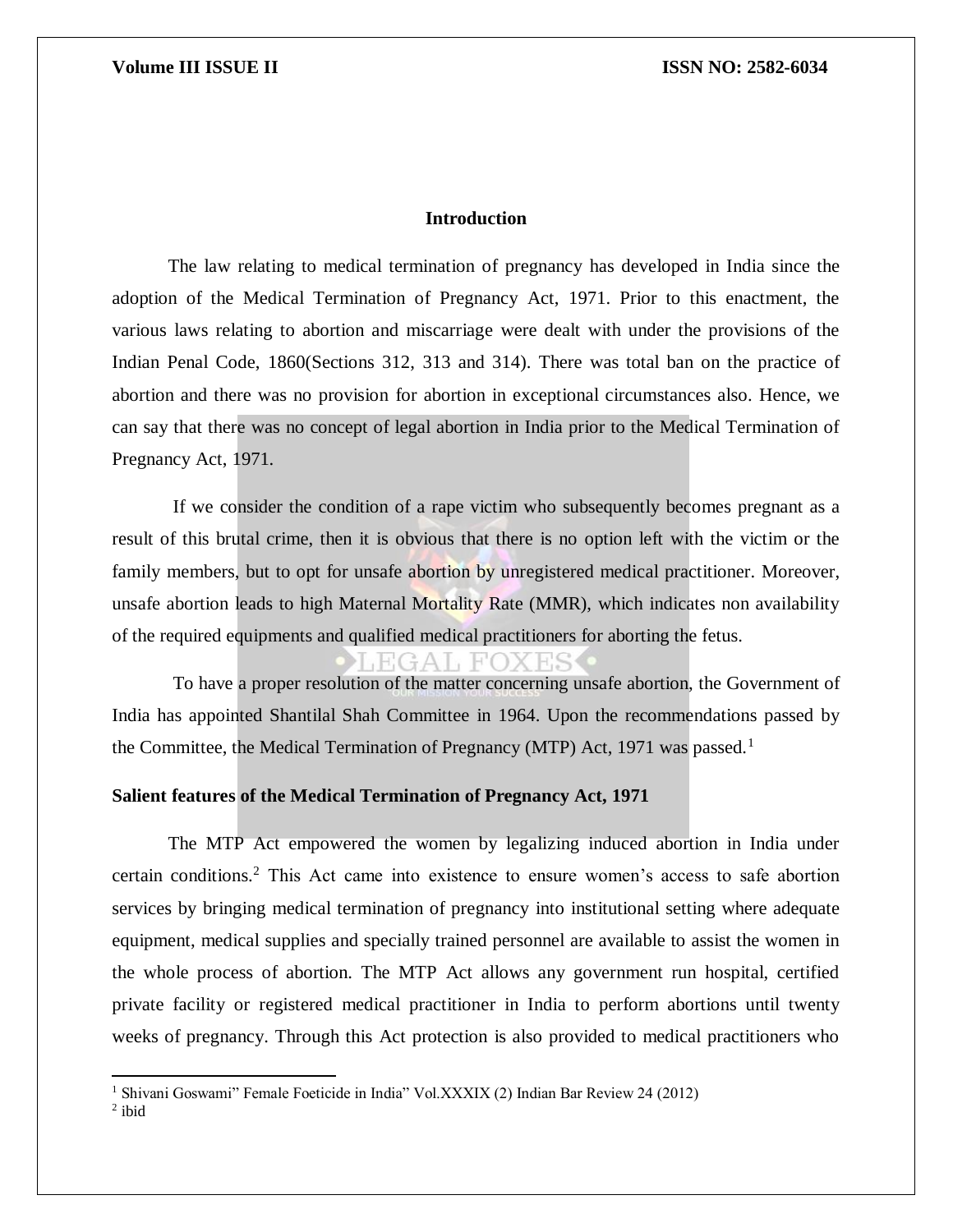### **Introduction**

The law relating to medical termination of pregnancy has developed in India since the adoption of the Medical Termination of Pregnancy Act, 1971. Prior to this enactment, the various laws relating to abortion and miscarriage were dealt with under the provisions of the Indian Penal Code, 1860(Sections 312, 313 and 314). There was total ban on the practice of abortion and there was no provision for abortion in exceptional circumstances also. Hence, we can say that there was no concept of legal abortion in India prior to the Medical Termination of Pregnancy Act, 1971.

If we consider the condition of a rape victim who subsequently becomes pregnant as a result of this brutal crime, then it is obvious that there is no option left with the victim or the family members, but to opt for unsafe abortion by unregistered medical practitioner. Moreover, unsafe abortion leads to high Maternal Mortality Rate (MMR), which indicates non availability of the required equipments and qualified medical practitioners for aborting the fetus.

To have a proper resolution of the matter concerning unsafe abortion, the Government of India has appointed Shantilal Shah Committee in 1964. Upon the recommendations passed by the Committee, the Medical Termination of Pregnancy (MTP) Act, 1971 was passed.<sup>1</sup>

### **Salient features of the Medical Termination of Pregnancy Act, 1971**

The MTP Act empowered the women by legalizing induced abortion in India under certain conditions.<sup>2</sup> This Act came into existence to ensure women's access to safe abortion services by bringing medical termination of pregnancy into institutional setting where adequate equipment, medical supplies and specially trained personnel are available to assist the women in the whole process of abortion. The MTP Act allows any government run hospital, certified private facility or registered medical practitioner in India to perform abortions until twenty weeks of pregnancy. Through this Act protection is also provided to medical practitioners who

 $\overline{\phantom{a}}$ 

<sup>1</sup> Shivani Goswami" Female Foeticide in India" Vol.XXXIX (2) Indian Bar Review 24 (2012)

 $2$  ibid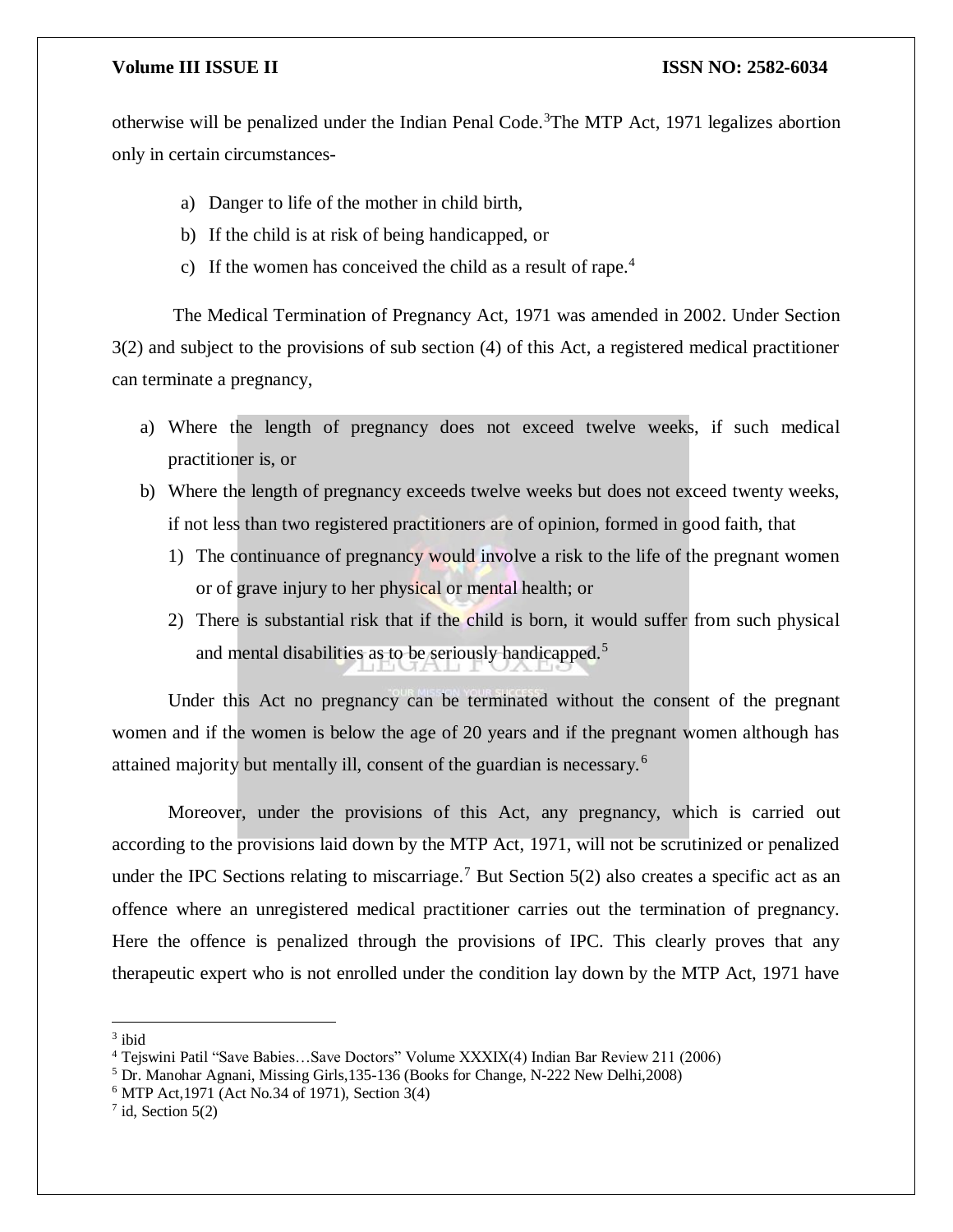otherwise will be penalized under the Indian Penal Code.<sup>3</sup>The MTP Act, 1971 legalizes abortion only in certain circumstances-

- a) Danger to life of the mother in child birth,
- b) If the child is at risk of being handicapped, or
- c) If the women has conceived the child as a result of rape.<sup>4</sup>

The Medical Termination of Pregnancy Act, 1971 was amended in 2002. Under Section 3(2) and subject to the provisions of sub section (4) of this Act, a registered medical practitioner can terminate a pregnancy,

- a) Where the length of pregnancy does not exceed twelve weeks, if such medical practitioner is, or
- b) Where the length of pregnancy exceeds twelve weeks but does not exceed twenty weeks, if not less than two registered practitioners are of opinion, formed in good faith, that
	- 1) The continuance of pregnancy would involve a risk to the life of the pregnant women or of grave injury to her physical or mental health; or
	- 2) There is substantial risk that if the child is born, it would suffer from such physical and mental disabilities as to be seriously handicapped.<sup>5</sup>

Under this Act no pregnancy can be terminated without the consent of the pregnant women and if the women is below the age of 20 years and if the pregnant women although has attained majority but mentally ill, consent of the guardian is necessary.<sup>6</sup>

Moreover, under the provisions of this Act, any pregnancy, which is carried out according to the provisions laid down by the MTP Act, 1971, will not be scrutinized or penalized under the IPC Sections relating to miscarriage.<sup>7</sup> But Section 5(2) also creates a specific act as an offence where an unregistered medical practitioner carries out the termination of pregnancy. Here the offence is penalized through the provisions of IPC. This clearly proves that any therapeutic expert who is not enrolled under the condition lay down by the MTP Act, 1971 have

 $\overline{\phantom{a}}$ 

<sup>3</sup> ibid

<sup>4</sup> Tejswini Patil "Save Babies…Save Doctors" Volume XXXIX(4) Indian Bar Review 211 (2006)

<sup>5</sup> Dr. Manohar Agnani, Missing Girls,135-136 (Books for Change, N-222 New Delhi,2008)

<sup>6</sup> MTP Act,1971 (Act No.34 of 1971), Section 3(4)

 $7$  id, Section 5(2)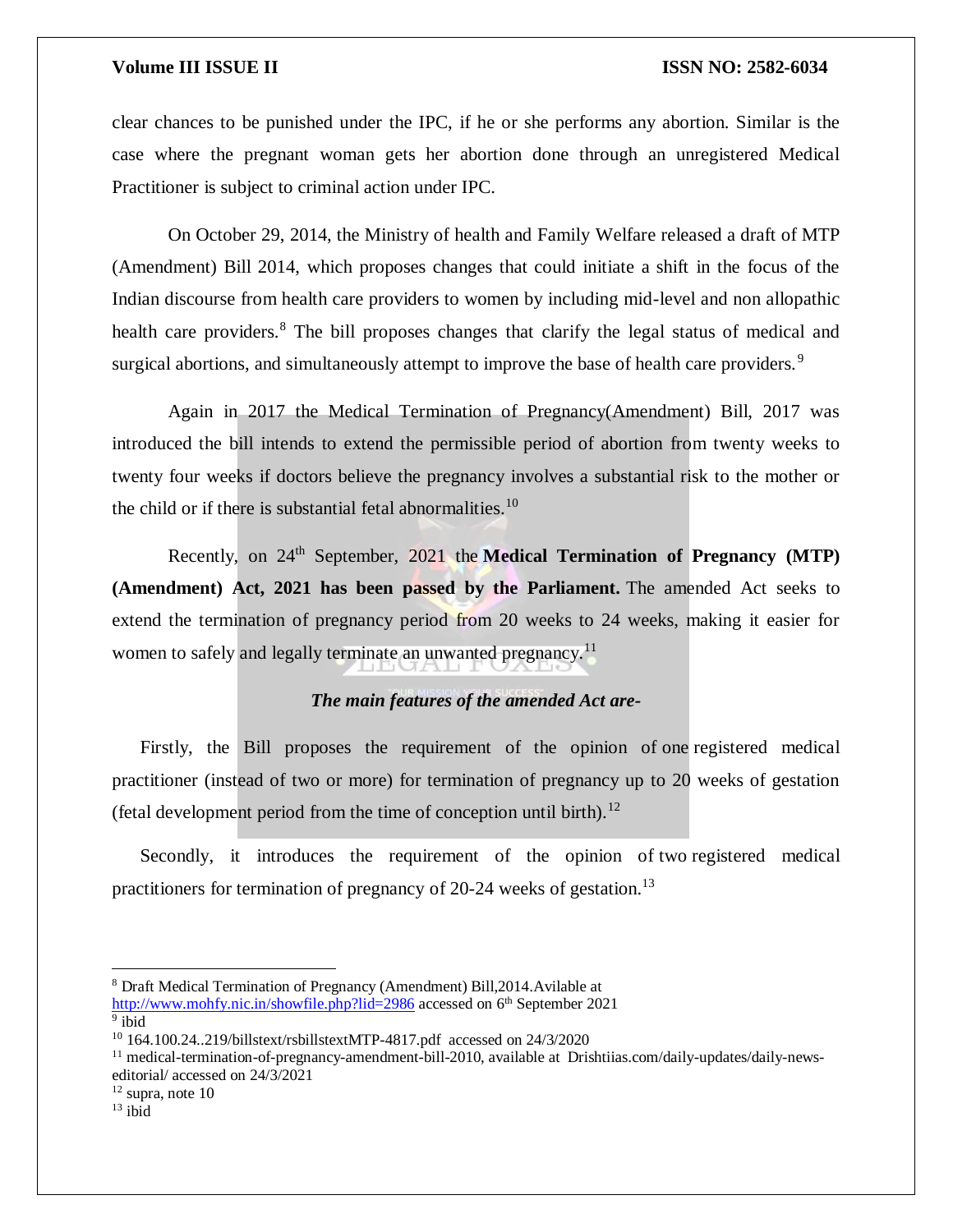clear chances to be punished under the IPC, if he or she performs any abortion. Similar is the case where the pregnant woman gets her abortion done through an unregistered Medical Practitioner is subject to criminal action under IPC.

On October 29, 2014, the Ministry of health and Family Welfare released a draft of MTP (Amendment) Bill 2014, which proposes changes that could initiate a shift in the focus of the Indian discourse from health care providers to women by including mid-level and non allopathic health care providers.<sup>8</sup> The bill proposes changes that clarify the legal status of medical and surgical abortions, and simultaneously attempt to improve the base of health care providers.<sup>9</sup>

Again in 2017 the Medical Termination of Pregnancy(Amendment) Bill, 2017 was introduced the bill intends to extend the permissible period of abortion from twenty weeks to twenty four weeks if doctors believe the pregnancy involves a substantial risk to the mother or the child or if there is substantial fetal abnormalities.<sup>10</sup>

Recently, on 24<sup>th</sup> September, 2021 the Medical Termination of Pregnancy (MTP) **(Amendment) Act, 2021 has been passed by the Parliament.** The amended Act seeks to extend the termination of pregnancy period from 20 weeks to 24 weeks, making it easier for women to safely and legally terminate an unwanted pregnancy.<sup>11</sup>

### *The main features of the amended Act are-*

Firstly, the Bill proposes the requirement of the opinion of one registered medical practitioner (instead of two or more) for termination of pregnancy up to 20 weeks of gestation (fetal development period from the time of conception until birth).<sup>12</sup>

Secondly, it introduces the requirement of the opinion of two registered medical practitioners for termination of pregnancy of 20-24 weeks of gestation.<sup>13</sup>

<http://www.mohfy.nic.in/showfile.php?lid=2986> accessed on 6<sup>th</sup> September 2021 <sup>9</sup> ibid

<sup>11</sup> medical-termination-of-pregnancy-amendment-bill-2010, available at Drishtiias.com/daily-updates/daily-newseditorial/ accessed on 24/3/2021

<sup>8</sup> Draft Medical Termination of Pregnancy (Amendment) Bill,2014.Avilable at

<sup>10</sup> 164.100.24..219/billstext/rsbillstextMTP-4817.pdf accessed on 24/3/2020

 $12$  supra, note 10

 $13$  ibid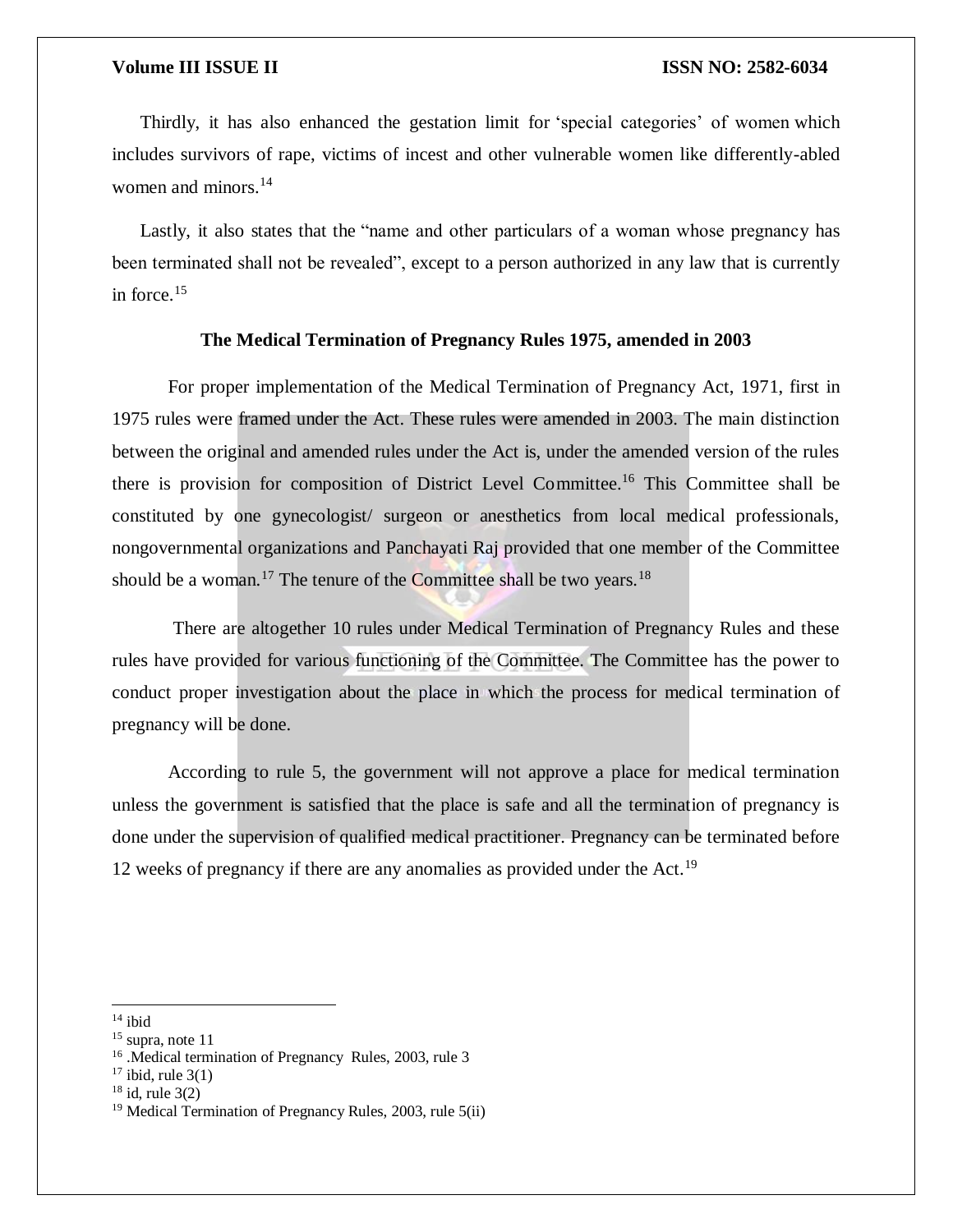Thirdly, it has also enhanced the gestation limit for 'special categories' of women which includes survivors of rape, victims of incest and other vulnerable women like differently-abled women and minors.<sup>14</sup>

Lastly, it also states that the "name and other particulars of a woman whose pregnancy has been terminated shall not be revealed", except to a person authorized in any law that is currently in force. $15$ 

### **The Medical Termination of Pregnancy Rules 1975, amended in 2003**

For proper implementation of the Medical Termination of Pregnancy Act, 1971, first in 1975 rules were framed under the Act. These rules were amended in 2003. The main distinction between the original and amended rules under the Act is, under the amended version of the rules there is provision for composition of District Level Committee.<sup>16</sup> This Committee shall be constituted by one gynecologist/ surgeon or anesthetics from local medical professionals, nongovernmental organizations and Panchayati Raj provided that one member of the Committee should be a woman.<sup>17</sup> The tenure of the Committee shall be two years.<sup>18</sup>

There are altogether 10 rules under Medical Termination of Pregnancy Rules and these rules have provided for various functioning of the Committee. The Committee has the power to conduct proper investigation about the place in which the process for medical termination of pregnancy will be done.

According to rule 5, the government will not approve a place for medical termination unless the government is satisfied that the place is safe and all the termination of pregnancy is done under the supervision of qualified medical practitioner. Pregnancy can be terminated before 12 weeks of pregnancy if there are any anomalies as provided under the Act.<sup>19</sup>

 $14$  ibid

<sup>&</sup>lt;sup>15</sup> supra, note 11

<sup>&</sup>lt;sup>16</sup> .Medical termination of Pregnancy Rules, 2003, rule 3

 $17$  ibid, rule 3(1)

 $18$  id, rule 3(2)

<sup>&</sup>lt;sup>19</sup> Medical Termination of Pregnancy Rules, 2003, rule 5(ii)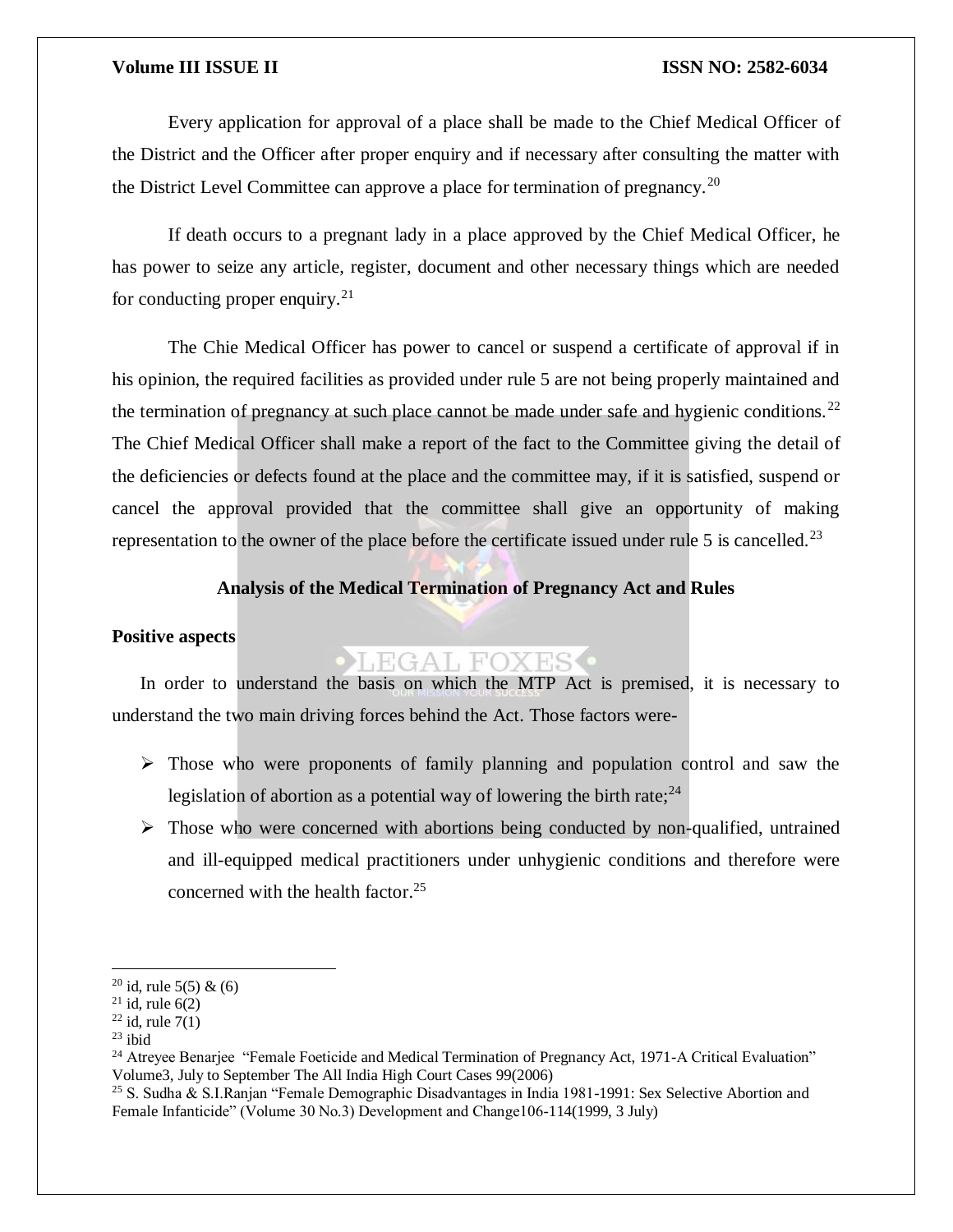Every application for approval of a place shall be made to the Chief Medical Officer of the District and the Officer after proper enquiry and if necessary after consulting the matter with the District Level Committee can approve a place for termination of pregnancy.<sup>20</sup>

If death occurs to a pregnant lady in a place approved by the Chief Medical Officer, he has power to seize any article, register, document and other necessary things which are needed for conducting proper enquiry. $^{21}$ 

The Chie Medical Officer has power to cancel or suspend a certificate of approval if in his opinion, the required facilities as provided under rule 5 are not being properly maintained and the termination of pregnancy at such place cannot be made under safe and hygienic conditions.<sup>22</sup> The Chief Medical Officer shall make a report of the fact to the Committee giving the detail of the deficiencies or defects found at the place and the committee may, if it is satisfied, suspend or cancel the approval provided that the committee shall give an opportunity of making representation to the owner of the place before the certificate issued under rule 5 is cancelled.<sup>23</sup>

### **Analysis of the Medical Termination of Pregnancy Act and Rules**

### **Positive aspects**

### LEGAL FOXES

In order to understand the basis on which the MTP Act is premised, it is necessary to understand the two main driving forces behind the Act. Those factors were-

- $\triangleright$  Those who were proponents of family planning and population control and saw the legislation of abortion as a potential way of lowering the birth rate;  $24$
- $\triangleright$  Those who were concerned with abortions being conducted by non-qualified, untrained and ill-equipped medical practitioners under unhygienic conditions and therefore were concerned with the health factor.<sup>25</sup>

<sup>&</sup>lt;sup>20</sup> id, rule 5(5) & (6)

 $21$  id, rule 6(2)

 $22$  id, rule  $7(1)$ 

 $23$  ibid

<sup>&</sup>lt;sup>24</sup> Atreyee Benarjee "Female Foeticide and Medical Termination of Pregnancy Act, 1971-A Critical Evaluation" Volume3, July to September The All India High Court Cases 99(2006)

<sup>25</sup> S. Sudha & S.I.Ranjan "Female Demographic Disadvantages in India 1981-1991: Sex Selective Abortion and Female Infanticide" (Volume 30 No.3) Development and Change106-114(1999, 3 July)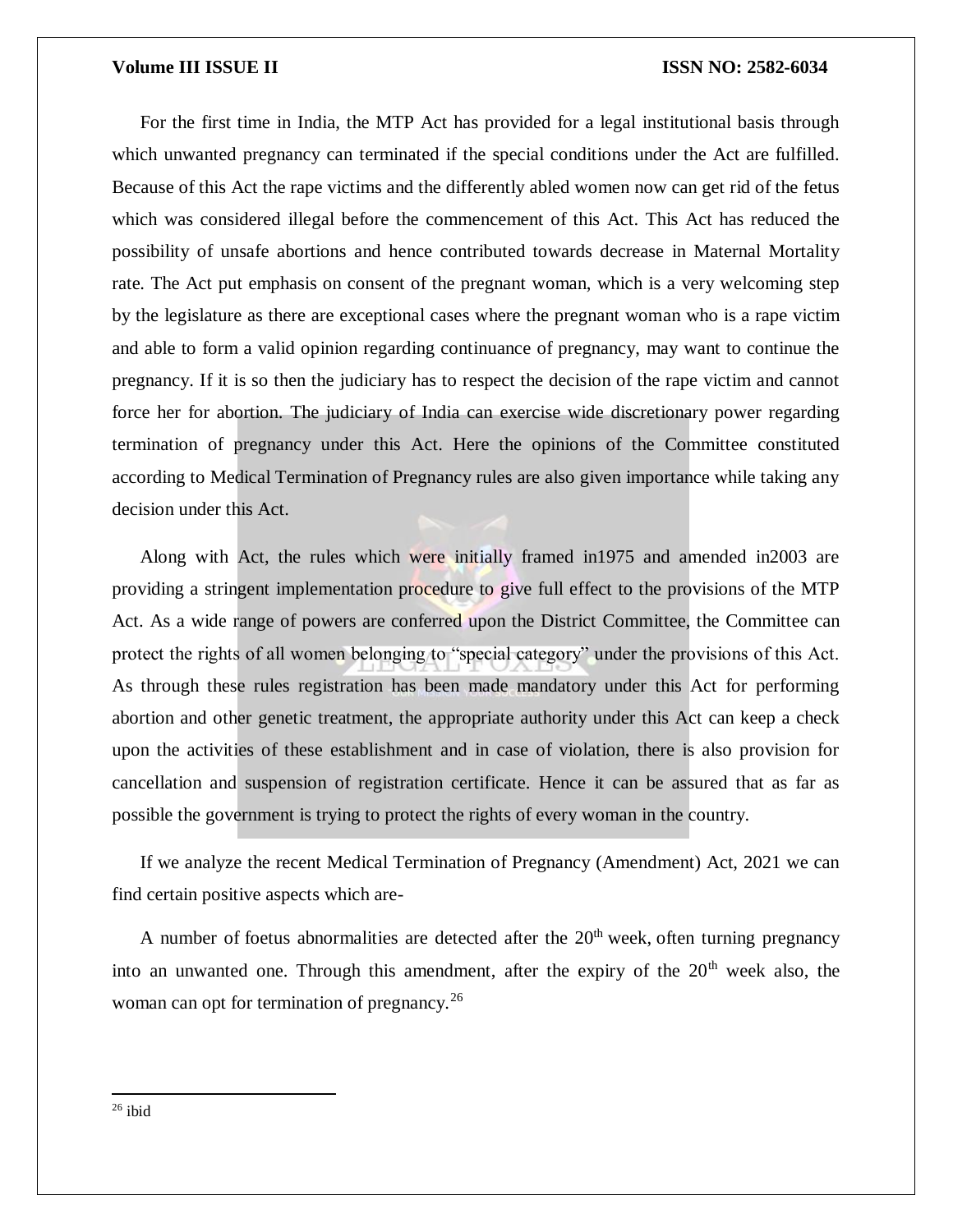### **Volume III ISSUE II ISSUE II ISSN NO:** 2582-6034

For the first time in India, the MTP Act has provided for a legal institutional basis through which unwanted pregnancy can terminated if the special conditions under the Act are fulfilled. Because of this Act the rape victims and the differently abled women now can get rid of the fetus which was considered illegal before the commencement of this Act. This Act has reduced the possibility of unsafe abortions and hence contributed towards decrease in Maternal Mortality rate. The Act put emphasis on consent of the pregnant woman, which is a very welcoming step by the legislature as there are exceptional cases where the pregnant woman who is a rape victim and able to form a valid opinion regarding continuance of pregnancy, may want to continue the pregnancy. If it is so then the judiciary has to respect the decision of the rape victim and cannot force her for abortion. The judiciary of India can exercise wide discretionary power regarding termination of pregnancy under this Act. Here the opinions of the Committee constituted according to Medical Termination of Pregnancy rules are also given importance while taking any decision under this Act.

Along with Act, the rules which were initially framed in1975 and amended in2003 are providing a stringent implementation procedure to give full effect to the provisions of the MTP Act. As a wide range of powers are conferred upon the District Committee, the Committee can protect the rights of all women belonging to "special category" under the provisions of this Act. As through these rules registration has been made mandatory under this Act for performing abortion and other genetic treatment, the appropriate authority under this Act can keep a check upon the activities of these establishment and in case of violation, there is also provision for cancellation and suspension of registration certificate. Hence it can be assured that as far as possible the government is trying to protect the rights of every woman in the country.

If we analyze the recent Medical Termination of Pregnancy (Amendment) Act, 2021 we can find certain positive aspects which are-

A number of foetus abnormalities are detected after the  $20<sup>th</sup>$  week, often turning pregnancy into an unwanted one. Through this amendment, after the expiry of the  $20<sup>th</sup>$  week also, the woman can opt for termination of pregnancy.<sup>26</sup>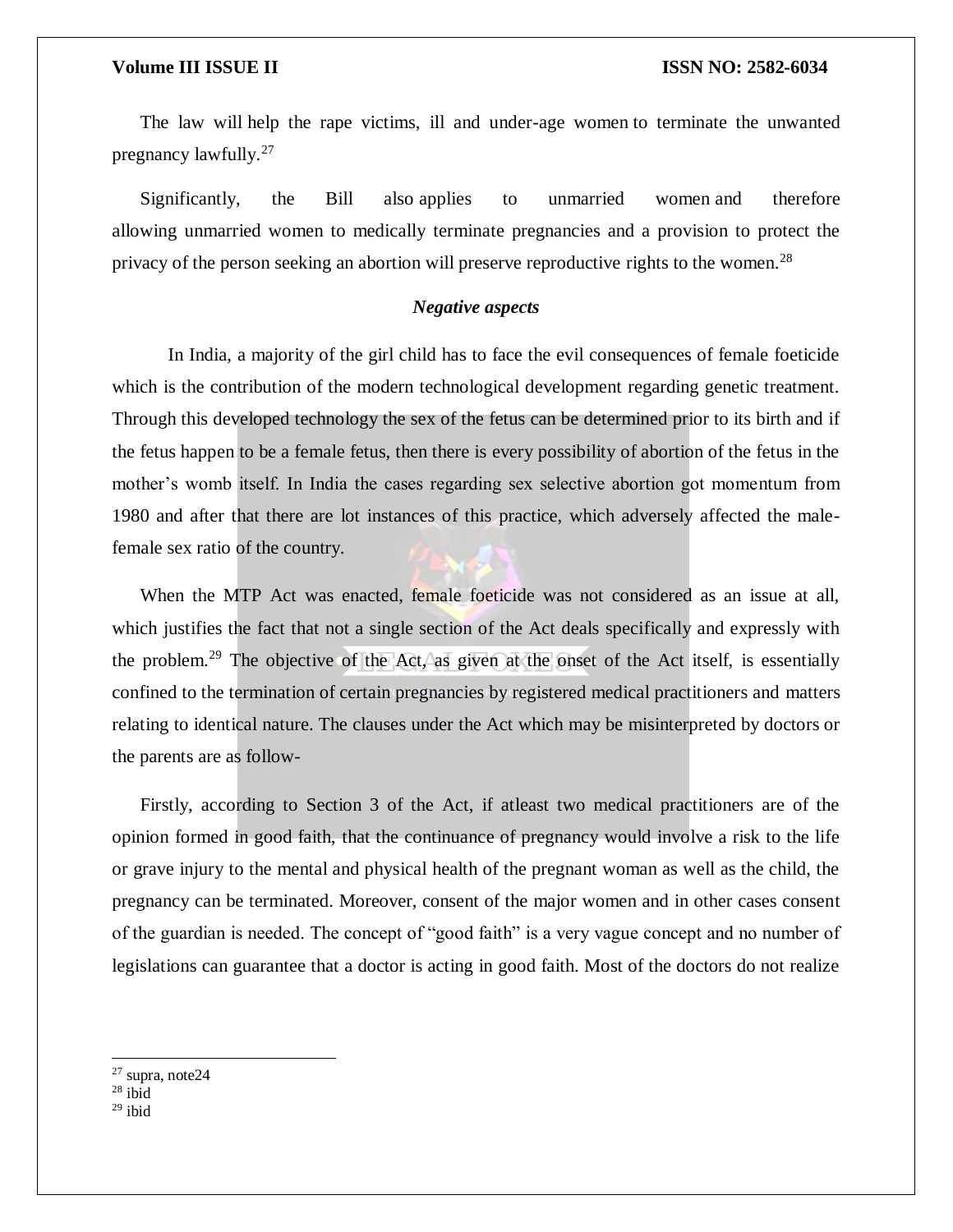The law will help the rape victims, ill and under-age women to terminate the unwanted pregnancy lawfully.<sup>27</sup>

Significantly, the Bill also applies to unmarried women and therefore allowing unmarried women to medically terminate pregnancies and a provision to protect the privacy of the person seeking an abortion will preserve reproductive rights to the women.<sup>28</sup>

### *Negative aspects*

In India, a majority of the girl child has to face the evil consequences of female foeticide which is the contribution of the modern technological development regarding genetic treatment. Through this developed technology the sex of the fetus can be determined prior to its birth and if the fetus happen to be a female fetus, then there is every possibility of abortion of the fetus in the mother's womb itself. In India the cases regarding sex selective abortion got momentum from 1980 and after that there are lot instances of this practice, which adversely affected the malefemale sex ratio of the country.

When the MTP Act was enacted, female foeticide was not considered as an issue at all, which justifies the fact that not a single section of the Act deals specifically and expressly with the problem.<sup>29</sup> The objective of the Act, as given at the onset of the Act itself, is essentially confined to the termination of certain pregnancies by registered medical practitioners and matters relating to identical nature. The clauses under the Act which may be misinterpreted by doctors or the parents are as follow-

Firstly, according to Section 3 of the Act, if atleast two medical practitioners are of the opinion formed in good faith, that the continuance of pregnancy would involve a risk to the life or grave injury to the mental and physical health of the pregnant woman as well as the child, the pregnancy can be terminated. Moreover, consent of the major women and in other cases consent of the guardian is needed. The concept of "good faith" is a very vague concept and no number of legislations can guarantee that a doctor is acting in good faith. Most of the doctors do not realize

 $27$  supra, note  $24$ 

 $\overline{a}$ 

 $29$  ibid

 $28$  ibid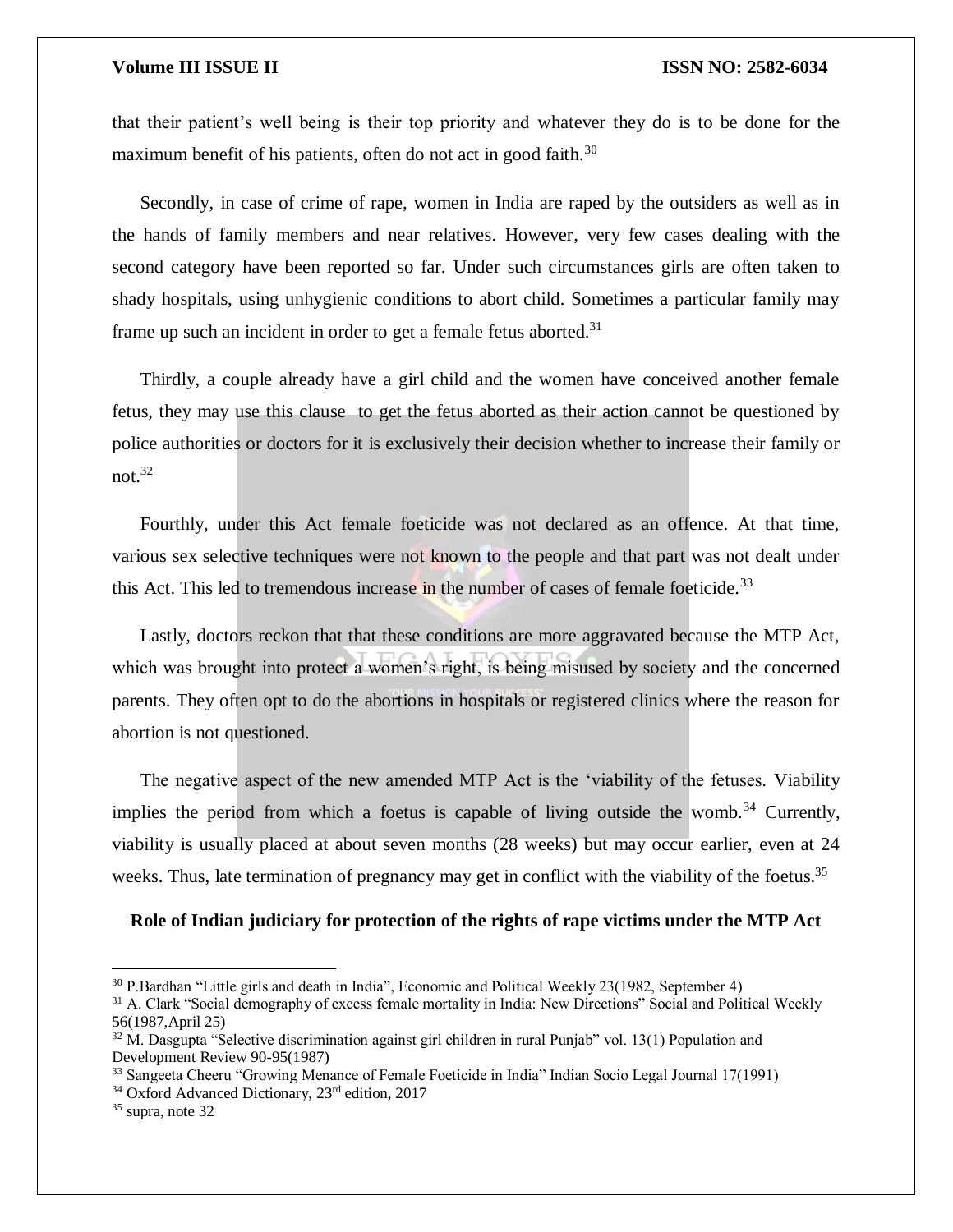that their patient's well being is their top priority and whatever they do is to be done for the maximum benefit of his patients, often do not act in good faith.<sup>30</sup>

Secondly, in case of crime of rape, women in India are raped by the outsiders as well as in the hands of family members and near relatives. However, very few cases dealing with the second category have been reported so far. Under such circumstances girls are often taken to shady hospitals, using unhygienic conditions to abort child. Sometimes a particular family may frame up such an incident in order to get a female fetus aborted.<sup>31</sup>

Thirdly, a couple already have a girl child and the women have conceived another female fetus, they may use this clause to get the fetus aborted as their action cannot be questioned by police authorities or doctors for it is exclusively their decision whether to increase their family or not. $32$ 

Fourthly, under this Act female foeticide was not declared as an offence. At that time, various sex selective techniques were not known to the people and that part was not dealt under this Act. This led to tremendous increase in the number of cases of female foeticide.<sup>33</sup>

Lastly, doctors reckon that that these conditions are more aggravated because the MTP Act, which was brought into protect a women's right, is being misused by society and the concerned parents. They often opt to do the abortions in hospitals or registered clinics where the reason for abortion is not questioned.

The negative aspect of the new amended MTP Act is the 'viability of the fetuses. Viability implies the period from which a foetus is capable of living outside the womb.<sup>34</sup> Currently, viability is usually placed at about seven months (28 weeks) but may occur earlier, even at 24 weeks. Thus, late termination of pregnancy may get in conflict with the viability of the foetus.<sup>35</sup>

**Role of Indian judiciary for protection of the rights of rape victims under the MTP Act**

<sup>31</sup> A. Clark "Social demography of excess female mortality in India: New Directions" Social and Political Weekly 56(1987,April 25)

<sup>30</sup> P.Bardhan "Little girls and death in India", Economic and Political Weekly 23(1982, September 4)

<sup>&</sup>lt;sup>32</sup> M. Dasgupta "Selective discrimination against girl children in rural Punjab" vol. 13(1) Population and Development Review 90-95(1987)

<sup>33</sup> Sangeeta Cheeru "Growing Menance of Female Foeticide in India" Indian Socio Legal Journal 17(1991)

<sup>&</sup>lt;sup>34</sup> Oxford Advanced Dictionary, 23<sup>rd</sup> edition, 2017

<sup>35</sup> supra, note 32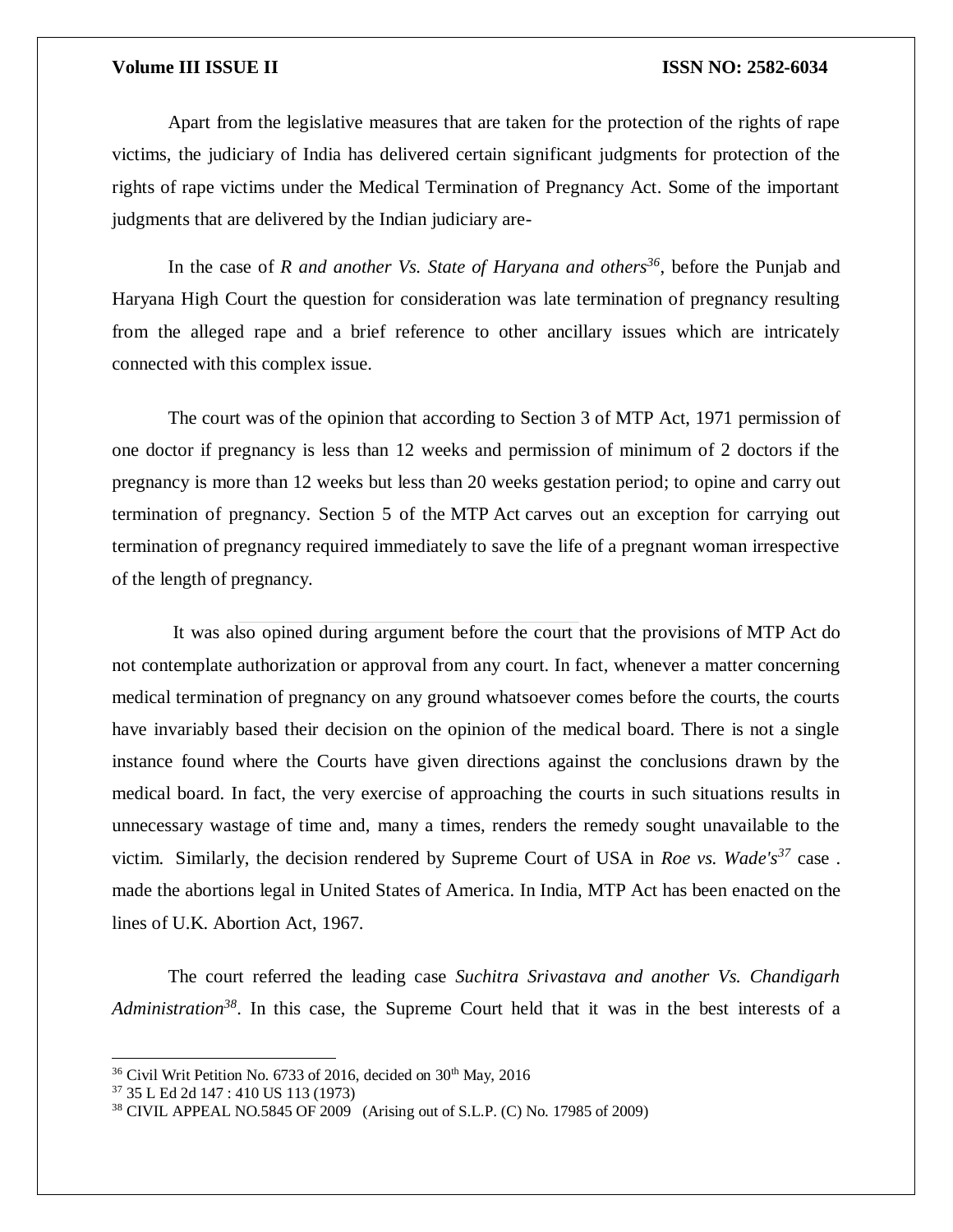Apart from the legislative measures that are taken for the protection of the rights of rape victims, the judiciary of India has delivered certain significant judgments for protection of the rights of rape victims under the Medical Termination of Pregnancy Act. Some of the important judgments that are delivered by the Indian judiciary are-

In the case of *R and another Vs. State of Haryana and others<sup>36</sup>*, before the Punjab and Haryana High Court the question for consideration was late termination of pregnancy resulting from the alleged rape and a brief reference to other ancillary issues which are intricately connected with this complex issue.

The court was of the opinion that according to Section 3 of MTP Act, 1971 permission of one doctor if pregnancy is less than 12 weeks and permission of minimum of 2 doctors if the pregnancy is more than 12 weeks but less than 20 weeks gestation period; to opine and carry out termination of pregnancy. Section 5 of the MTP Act carves out an exception for carrying out termination of pregnancy required immediately to save the life of a pregnant woman irrespective of the length of pregnancy.

It was also opined during argument before the court that the provisions of MTP Act do not contemplate authorization or approval from any court. In fact, whenever a matter concerning medical termination of pregnancy on any ground whatsoever comes before the courts, the courts have invariably based their decision on the opinion of the medical board. There is not a single instance found where the Courts have given directions against the conclusions drawn by the medical board. In fact, the very exercise of approaching the courts in such situations results in unnecessary wastage of time and, many a times, renders the remedy sought unavailable to the victim. Similarly, the decision rendered by Supreme Court of USA in *Roe vs. Wade's<sup>37</sup>* case . made the abortions legal in United States of America. In India, MTP Act has been enacted on the lines of U.K. Abortion Act, 1967.

The court referred the leading case *Suchitra Srivastava and another Vs. Chandigarh Administration<sup>38</sup>*. In this case, the Supreme Court held that it was in the best interests of a

 $36$  Civil Writ Petition No. 6733 of 2016, decided on  $30<sup>th</sup>$  May, 2016

<sup>37</sup> 35 L Ed 2d 147 : 410 US 113 (1973)

<sup>38</sup> CIVIL APPEAL NO.5845 OF 2009 (Arising out of S.L.P. (C) No. 17985 of 2009)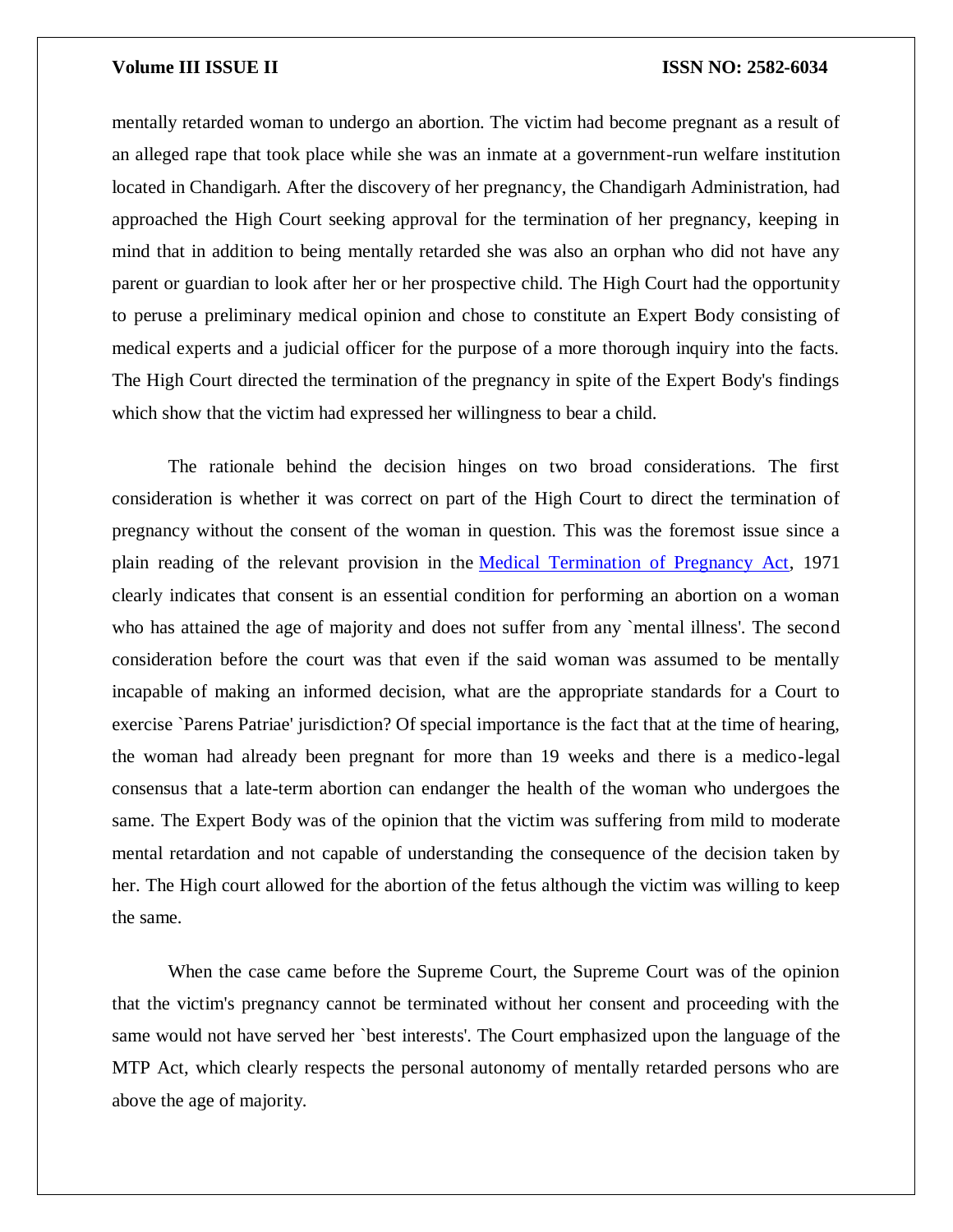mentally retarded woman to undergo an abortion. The victim had become pregnant as a result of an alleged rape that took place while she was an inmate at a government-run welfare institution located in Chandigarh. After the discovery of her pregnancy, the Chandigarh Administration, had approached the High Court seeking approval for the termination of her pregnancy, keeping in mind that in addition to being mentally retarded she was also an orphan who did not have any parent or guardian to look after her or her prospective child. The High Court had the opportunity to peruse a preliminary medical opinion and chose to constitute an Expert Body consisting of medical experts and a judicial officer for the purpose of a more thorough inquiry into the facts. The High Court directed the termination of the pregnancy in spite of the Expert Body's findings which show that the victim had expressed her willingness to bear a child.

The rationale behind the decision hinges on two broad considerations. The first consideration is whether it was correct on part of the High Court to direct the termination of pregnancy without the consent of the woman in question. This was the foremost issue since a plain reading of the relevant provision in the [Medical Termination of Pregnancy Act,](https://indiankanoon.org/doc/634810/) 1971 clearly indicates that consent is an essential condition for performing an abortion on a woman who has attained the age of majority and does not suffer from any `mental illness'. The second consideration before the court was that even if the said woman was assumed to be mentally incapable of making an informed decision, what are the appropriate standards for a Court to exercise `Parens Patriae' jurisdiction? Of special importance is the fact that at the time of hearing, the woman had already been pregnant for more than 19 weeks and there is a medico-legal consensus that a late-term abortion can endanger the health of the woman who undergoes the same. The Expert Body was of the opinion that the victim was suffering from mild to moderate mental retardation and not capable of understanding the consequence of the decision taken by her. The High court allowed for the abortion of the fetus although the victim was willing to keep the same.

When the case came before the Supreme Court, the Supreme Court was of the opinion that the victim's pregnancy cannot be terminated without her consent and proceeding with the same would not have served her `best interests'. The Court emphasized upon the language of the MTP Act, which clearly respects the personal autonomy of mentally retarded persons who are above the age of majority.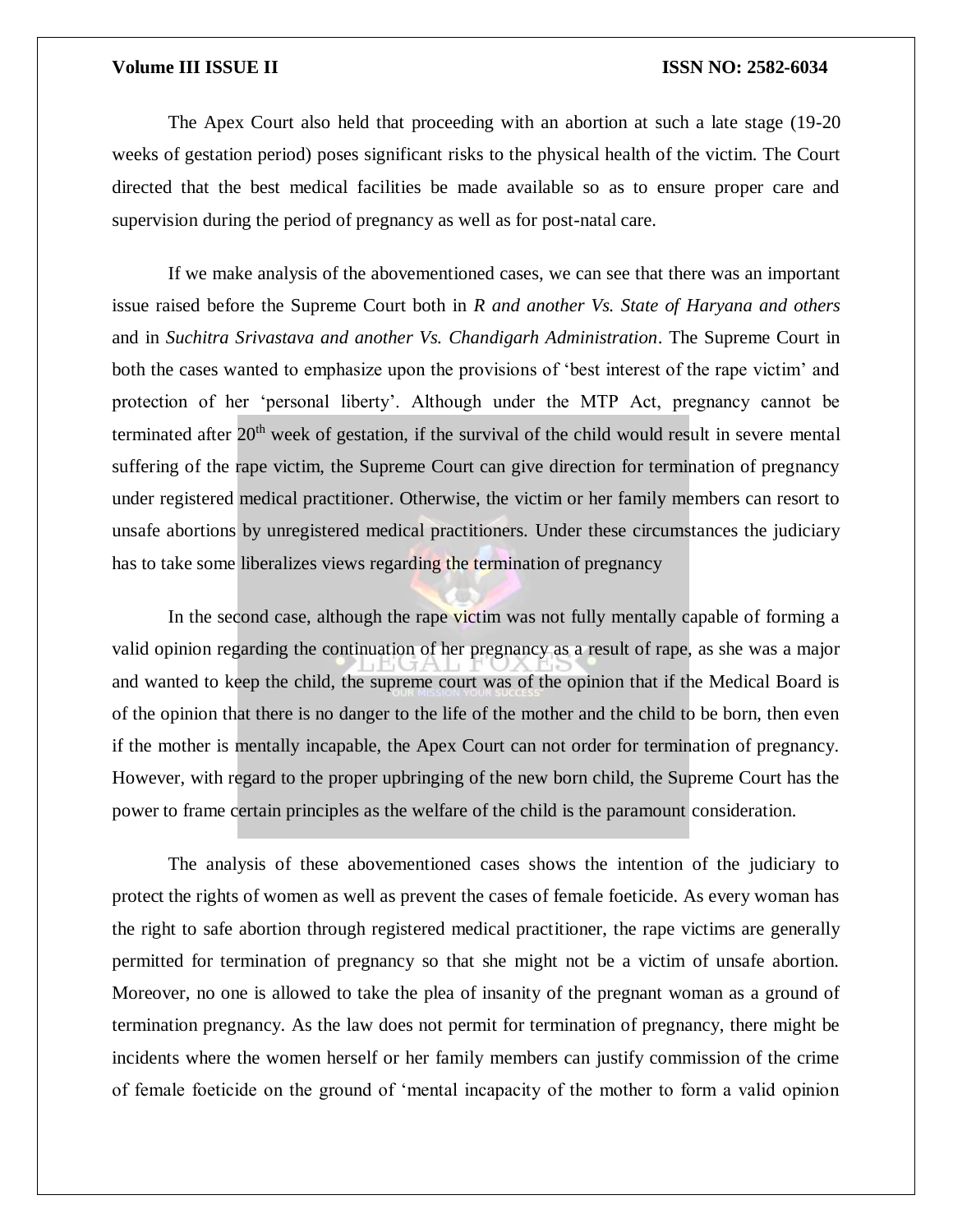The Apex Court also held that proceeding with an abortion at such a late stage (19-20 weeks of gestation period) poses significant risks to the physical health of the victim. The Court directed that the best medical facilities be made available so as to ensure proper care and supervision during the period of pregnancy as well as for post-natal care.

If we make analysis of the abovementioned cases, we can see that there was an important issue raised before the Supreme Court both in *R and another Vs. State of Haryana and others*  and in *Suchitra Srivastava and another Vs. Chandigarh Administration*. The Supreme Court in both the cases wanted to emphasize upon the provisions of 'best interest of the rape victim' and protection of her 'personal liberty'. Although under the MTP Act, pregnancy cannot be terminated after 20<sup>th</sup> week of gestation, if the survival of the child would result in severe mental suffering of the rape victim, the Supreme Court can give direction for termination of pregnancy under registered medical practitioner. Otherwise, the victim or her family members can resort to unsafe abortions by unregistered medical practitioners. Under these circumstances the judiciary has to take some liberalizes views regarding the termination of pregnancy

In the second case, although the rape victim was not fully mentally capable of forming a valid opinion regarding the continuation of her pregnancy as a result of rape, as she was a major and wanted to keep the child, the supreme court was of the opinion that if the Medical Board is of the opinion that there is no danger to the life of the mother and the child to be born, then even if the mother is mentally incapable, the Apex Court can not order for termination of pregnancy. However, with regard to the proper upbringing of the new born child, the Supreme Court has the power to frame certain principles as the welfare of the child is the paramount consideration.

The analysis of these abovementioned cases shows the intention of the judiciary to protect the rights of women as well as prevent the cases of female foeticide. As every woman has the right to safe abortion through registered medical practitioner, the rape victims are generally permitted for termination of pregnancy so that she might not be a victim of unsafe abortion. Moreover, no one is allowed to take the plea of insanity of the pregnant woman as a ground of termination pregnancy. As the law does not permit for termination of pregnancy, there might be incidents where the women herself or her family members can justify commission of the crime of female foeticide on the ground of 'mental incapacity of the mother to form a valid opinion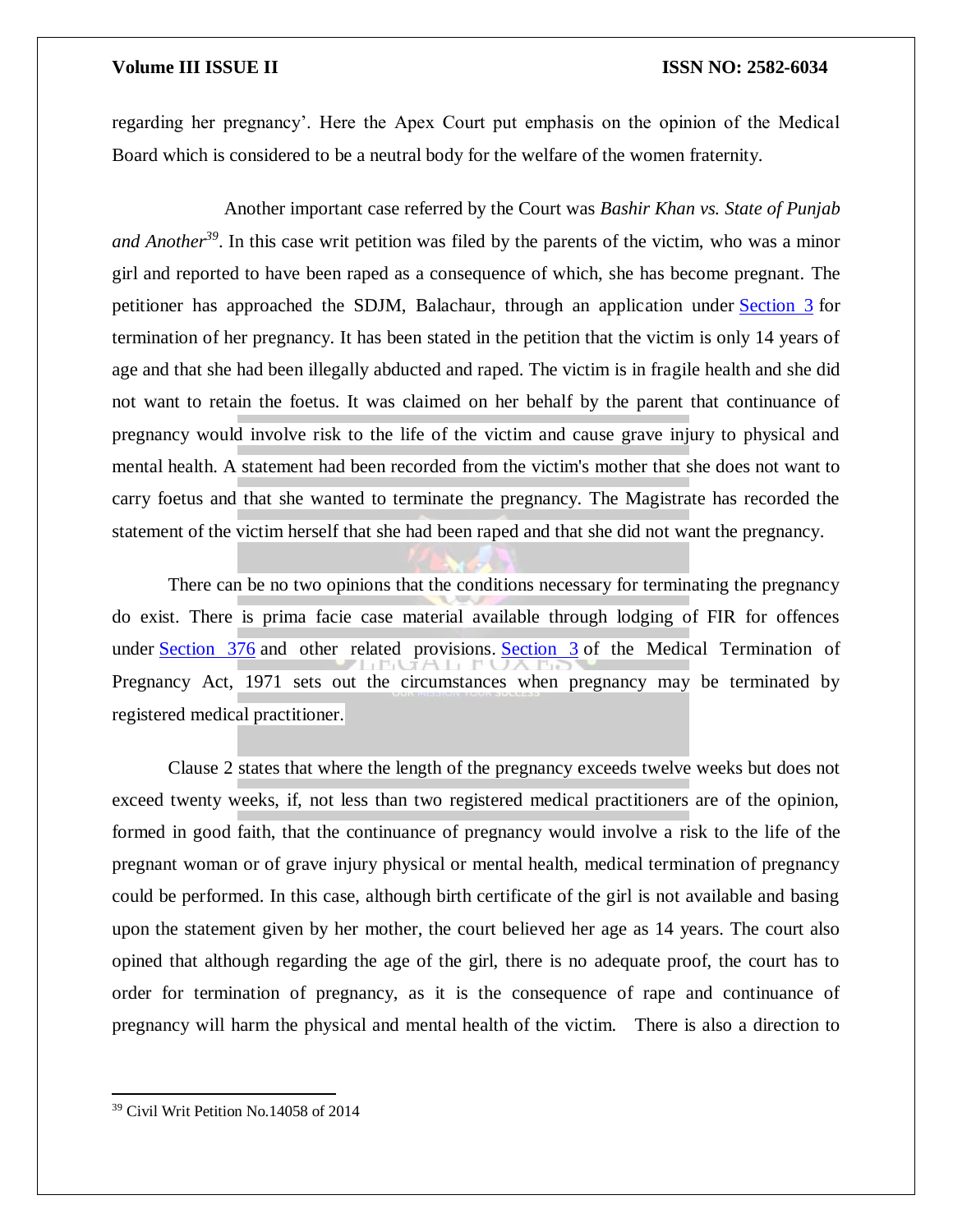regarding her pregnancy'. Here the Apex Court put emphasis on the opinion of the Medical Board which is considered to be a neutral body for the welfare of the women fraternity.

Another important case referred by the Court was *Bashir Khan vs. State of Punjab and Another<sup>39</sup>*. In this case writ petition was filed by the parents of the victim, who was a minor girl and reported to have been raped as a consequence of which, she has become pregnant. The petitioner has approached the SDJM, Balachaur, through an application under [Section 3](https://indiankanoon.org/doc/200125/) for termination of her pregnancy. It has been stated in the petition that the victim is only 14 years of age and that she had been illegally abducted and raped. The victim is in fragile health and she did not want to retain the foetus. It was claimed on her behalf by the parent that continuance of pregnancy would involve risk to the life of the victim and cause grave injury to physical and mental health. A statement had been recorded from the victim's mother that she does not want to carry foetus and that she wanted to terminate the pregnancy. The Magistrate has recorded the statement of the victim herself that she had been raped and that she did not want the pregnancy.

There can be no two opinions that the conditions necessary for terminating the pregnancy do exist. There is prima facie case material available through lodging of FIR for offences under [Section 376](https://indiankanoon.org/doc/1973522/) and other related provisions. [Section 3](https://indiankanoon.org/doc/1836566/) of the Medical Termination of Pregnancy Act, 1971 sets out the circumstances when pregnancy may be terminated by registered medical practitioner.

Clause 2 states that where the length of the pregnancy exceeds twelve weeks but does not exceed twenty weeks, if, not less than two registered medical practitioners are of the opinion, formed in good faith, that the continuance of pregnancy would involve a risk to the life of the pregnant woman or of grave injury physical or mental health, medical termination of pregnancy could be performed. In this case, although birth certificate of the girl is not available and basing upon the statement given by her mother, the court believed her age as 14 years. The court also opined that although regarding the age of the girl, there is no adequate proof, the court has to order for termination of pregnancy, as it is the consequence of rape and continuance of pregnancy will harm the physical and mental health of the victim. There is also a direction to

<sup>39</sup> Civil Writ Petition No.14058 of 2014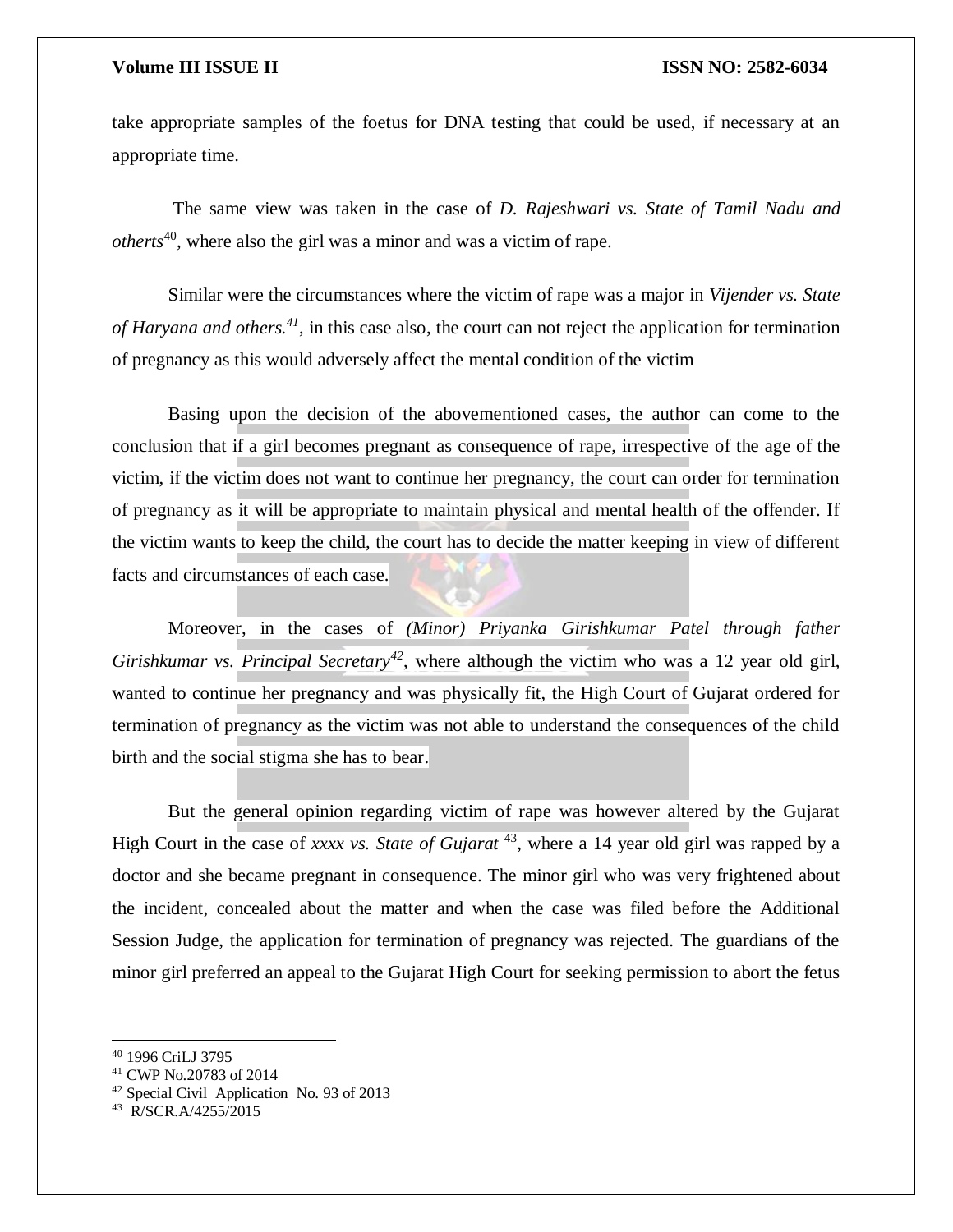take appropriate samples of the foetus for DNA testing that could be used, if necessary at an appropriate time.

The same view was taken in the case of *D. Rajeshwari vs. State of Tamil Nadu and otherts*<sup>40</sup>, where also the girl was a minor and was a victim of rape.

Similar were the circumstances where the victim of rape was a major in *Vijender vs. State of Haryana and others.<sup>41</sup>*, in this case also, the court can not reject the application for termination of pregnancy as this would adversely affect the mental condition of the victim

Basing upon the decision of the abovementioned cases, the author can come to the conclusion that if a girl becomes pregnant as consequence of rape, irrespective of the age of the victim, if the victim does not want to continue her pregnancy, the court can order for termination of pregnancy as it will be appropriate to maintain physical and mental health of the offender. If the victim wants to keep the child, the court has to decide the matter keeping in view of different facts and circumstances of each case.

Moreover, in the cases of *(Minor) Priyanka Girishkumar Patel through father Girishkumar vs. Principal Secretary<sup>42</sup>*, where although the victim who was a 12 year old girl, wanted to continue her pregnancy and was physically fit, the High Court of Gujarat ordered for termination of pregnancy as the victim was not able to understand the consequences of the child birth and the social stigma she has to bear.

But the general opinion regarding victim of rape was however altered by the Gujarat High Court in the case of *xxxx vs. State of Gujarat* <sup>43</sup>, where a 14 year old girl was rapped by a doctor and she became pregnant in consequence. The minor girl who was very frightened about the incident, concealed about the matter and when the case was filed before the Additional Session Judge, the application for termination of pregnancy was rejected. The guardians of the minor girl preferred an appeal to the Gujarat High Court for seeking permission to abort the fetus

<sup>40</sup> 1996 CriLJ 3795

<sup>41</sup> CWP No.20783 of 2014

<sup>42</sup> Special Civil Application No. 93 of 2013

<sup>43</sup> R/SCR.A/4255/2015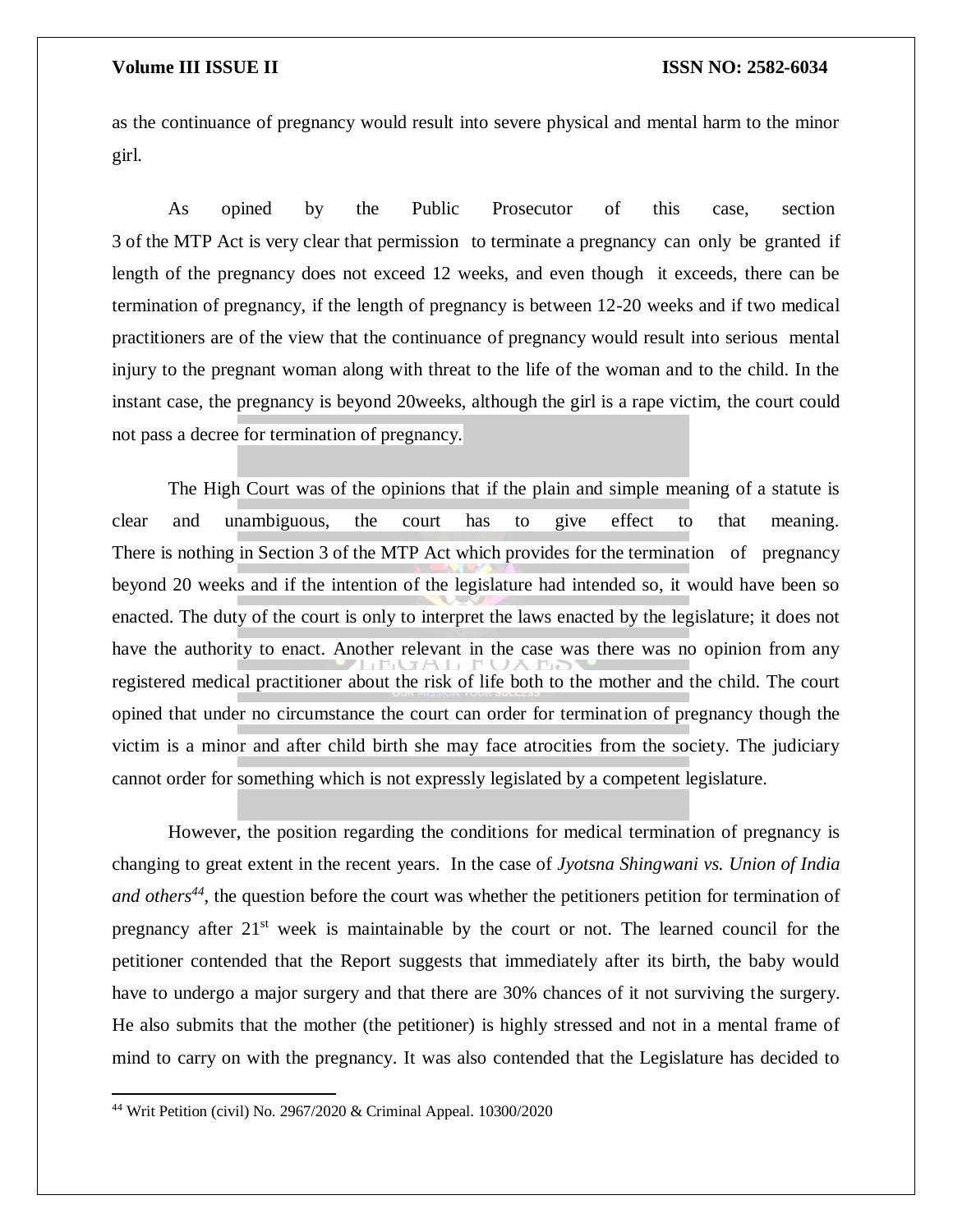as the continuance of pregnancy would result into severe physical and mental harm to the minor girl.

As opined by the Public Prosecutor of this case, section 3 of the MTP Act is very clear that permission to terminate a pregnancy can only be granted if length of the pregnancy does not exceed 12 weeks, and even though it exceeds, there can be termination of pregnancy, if the length of pregnancy is between 12-20 weeks and if two medical practitioners are of the view that the continuance of pregnancy would result into serious mental injury to the pregnant woman along with threat to the life of the woman and to the child. In the instant case, the pregnancy is beyond 20weeks, although the girl is a rape victim, the court could not pass a decree for termination of pregnancy.

The High Court was of the opinions that if the plain and simple meaning of a statute is clear and unambiguous, the court has to give effect to that meaning. There is nothing in Section 3 of the MTP Act which provides for the termination of pregnancy beyond 20 weeks and if the intention of the legislature had intended so, it would have been so enacted. The duty of the court is only to interpret the laws enacted by the legislature; it does not have the authority to enact. Another relevant in the case was there was no opinion from any registered medical practitioner about the risk of life both to the mother and the child. The court opined that under no circumstance the court can order for termination of pregnancy though the victim is a minor and after child birth she may face atrocities from the society. The judiciary cannot order for something which is not expressly legislated by a competent legislature.

However, the position regarding the conditions for medical termination of pregnancy is changing to great extent in the recent years. In the case of *Jyotsna Shingwani vs. Union of India and others<sup>44</sup>*, the question before the court was whether the petitioners petition for termination of pregnancy after 21<sup>st</sup> week is maintainable by the court or not. The learned council for the petitioner contended that the Report suggests that immediately after its birth, the baby would have to undergo a major surgery and that there are 30% chances of it not surviving the surgery. He also submits that the mother (the petitioner) is highly stressed and not in a mental frame of mind to carry on with the pregnancy. It was also contended that the Legislature has decided to

<sup>44</sup> Writ Petition (civil) No. 2967/2020 & Criminal Appeal. 10300/2020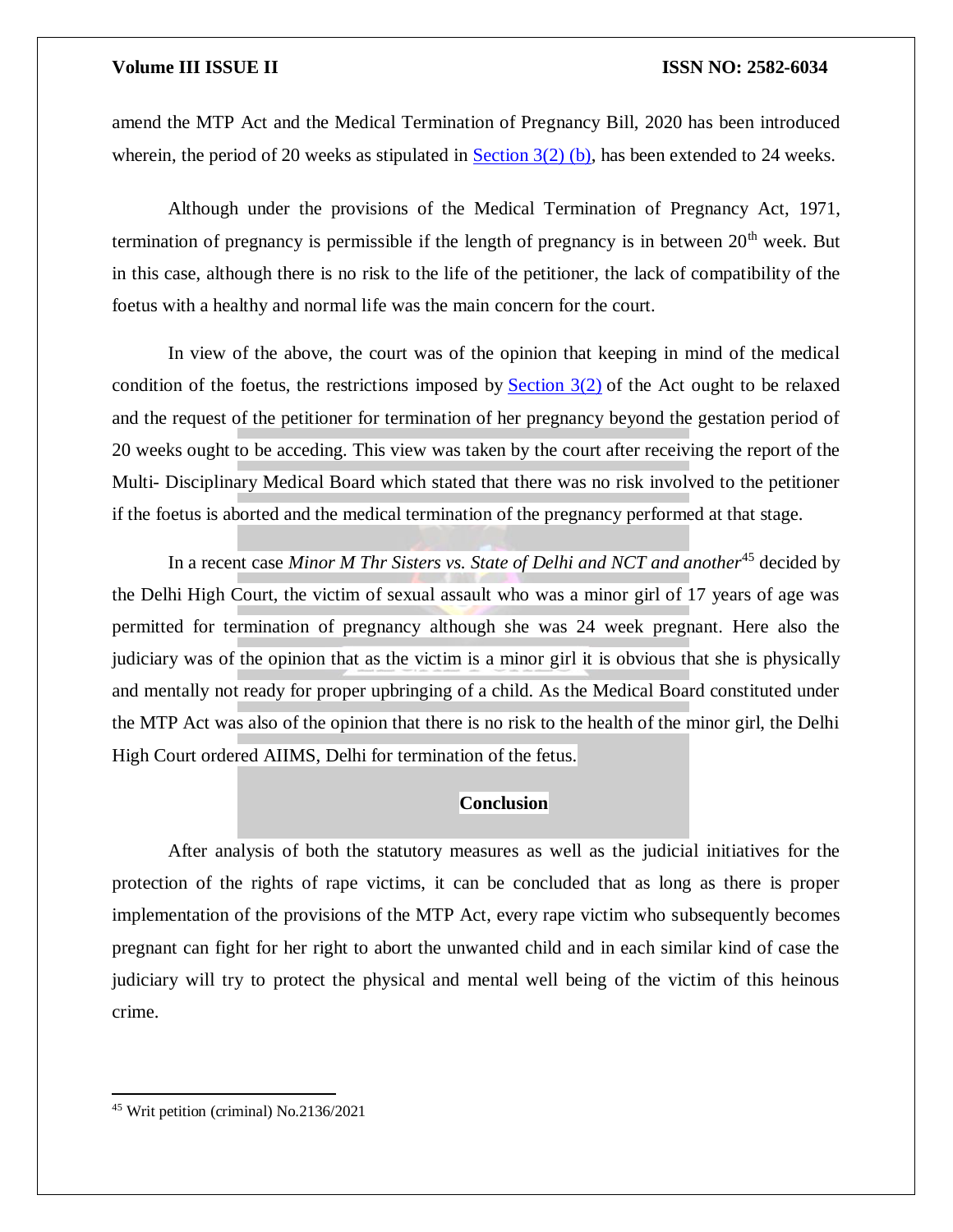amend the MTP Act and the Medical Termination of Pregnancy Bill, 2020 has been introduced wherein, the period of 20 weeks as stipulated in Section  $3(2)$  (b), has been extended to 24 weeks.

Although under the provisions of the Medical Termination of Pregnancy Act, 1971, termination of pregnancy is permissible if the length of pregnancy is in between  $20<sup>th</sup>$  week. But in this case, although there is no risk to the life of the petitioner, the lack of compatibility of the foetus with a healthy and normal life was the main concern for the court.

In view of the above, the court was of the opinion that keeping in mind of the medical condition of the foetus, the restrictions imposed by Section  $3(2)$  of the Act ought to be relaxed and the request of the petitioner for termination of her pregnancy beyond the gestation period of 20 weeks ought to be acceding. This view was taken by the court after receiving the report of the Multi- Disciplinary Medical Board which stated that there was no risk involved to the petitioner if the foetus is aborted and the medical termination of the pregnancy performed at that stage.

In a recent case *Minor M Thr Sisters vs. State of Delhi and NCT and another*<sup>45</sup> decided by the Delhi High Court, the victim of sexual assault who was a minor girl of 17 years of age was permitted for termination of pregnancy although she was 24 week pregnant. Here also the judiciary was of the opinion that as the victim is a minor girl it is obvious that she is physically and mentally not ready for proper upbringing of a child. As the Medical Board constituted under the MTP Act was also of the opinion that there is no risk to the health of the minor girl, the Delhi High Court ordered AIIMS, Delhi for termination of the fetus.

### **Conclusion**

After analysis of both the statutory measures as well as the judicial initiatives for the protection of the rights of rape victims, it can be concluded that as long as there is proper implementation of the provisions of the MTP Act, every rape victim who subsequently becomes pregnant can fight for her right to abort the unwanted child and in each similar kind of case the judiciary will try to protect the physical and mental well being of the victim of this heinous crime.

<sup>45</sup> Writ petition (criminal) No.2136/2021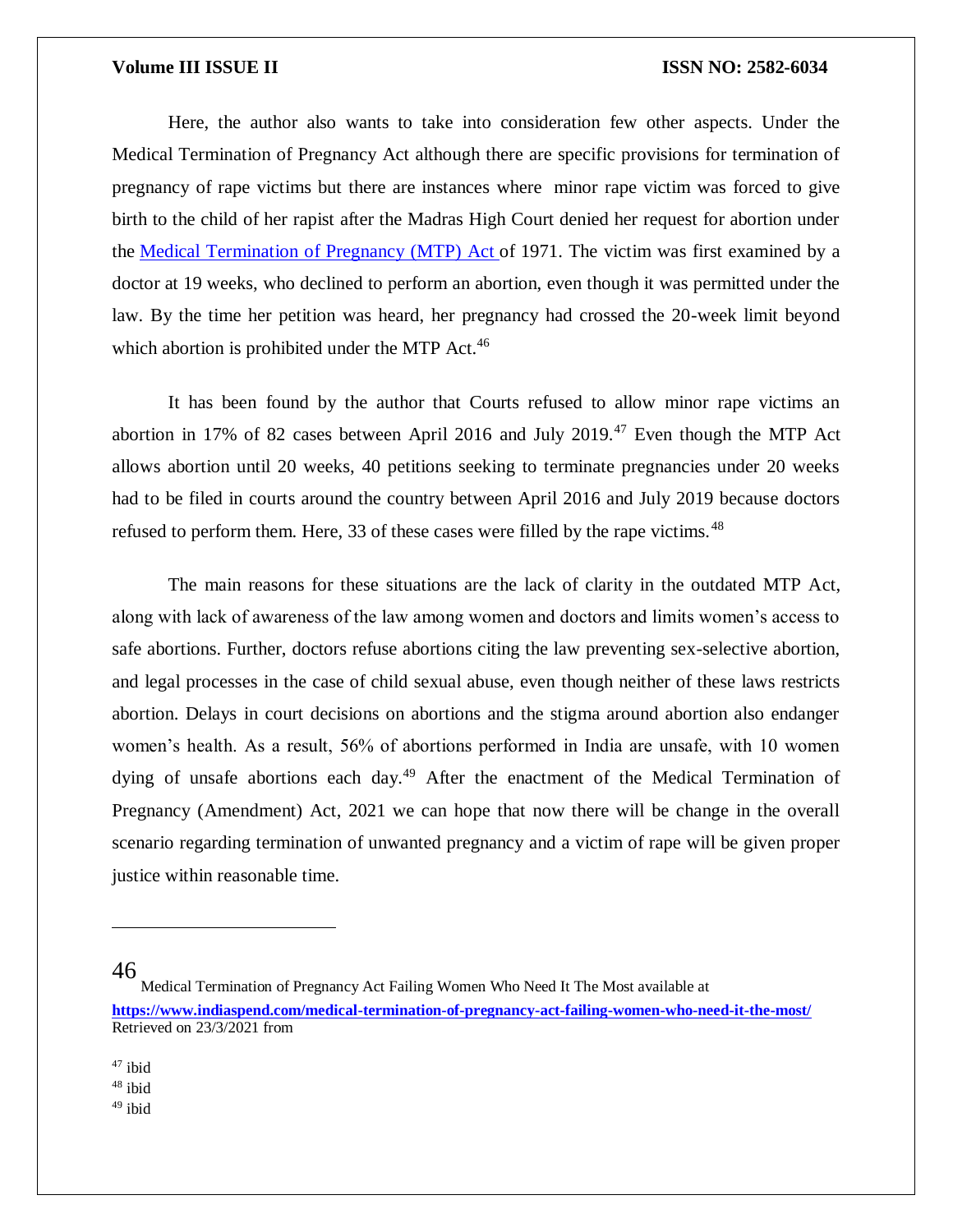Here, the author also wants to take into consideration few other aspects. Under the Medical Termination of Pregnancy Act although there are specific provisions for termination of pregnancy of rape victims but there are instances where minor rape victim was forced to give birth to the child of her rapist after the Madras High Court denied her request for abortion under the [Medical Termination of Pregnancy \(MTP\) Act](https://indiacode.nic.in/handle/123456789/1593?view_type=browse&sam_handle=) of 1971. The victim was first examined by a doctor at 19 weeks, who declined to perform an abortion, even though it was permitted under the law. By the time her petition was heard, her pregnancy had crossed the 20-week limit beyond which abortion is prohibited under the MTP Act.<sup>46</sup>

It has been found by the author that Courts refused to allow minor rape victims an abortion in 17% of 82 cases between April 2016 and July 2019.<sup>47</sup> Even though the MTP Act allows abortion until 20 weeks, 40 petitions seeking to terminate pregnancies under 20 weeks had to be filed in courts around the country between April 2016 and July 2019 because doctors refused to perform them. Here, 33 of these cases were filled by the rape victims.<sup>48</sup>

The main reasons for these situations are the lack of clarity in the outdated MTP Act, along with lack of awareness of the law among women and doctors and limits women's access to safe abortions. Further, doctors refuse abortions citing the law preventing sex-selective abortion, and legal processes in the case of child sexual abuse, even though neither of these laws restricts abortion. Delays in court decisions on abortions and the stigma around abortion also endanger women's health. As a result, 56% of abortions performed in India are unsafe, with 10 women dying of unsafe abortions each day.<sup>49</sup> After the enactment of the Medical Termination of Pregnancy (Amendment) Act, 2021 we can hope that now there will be change in the overall scenario regarding termination of unwanted pregnancy and a victim of rape will be given proper justice within reasonable time.

46

 $\overline{\phantom{a}}$ 

- <sup>47</sup> ibid
- <sup>48</sup> ibid
- <sup>49</sup> ibid

Medical Termination of Pregnancy Act Failing Women Who Need It The Most available at **<https://www.indiaspend.com/medical-termination-of-pregnancy-act-failing-women-who-need-it-the-most/>** Retrieved on 23/3/2021 from